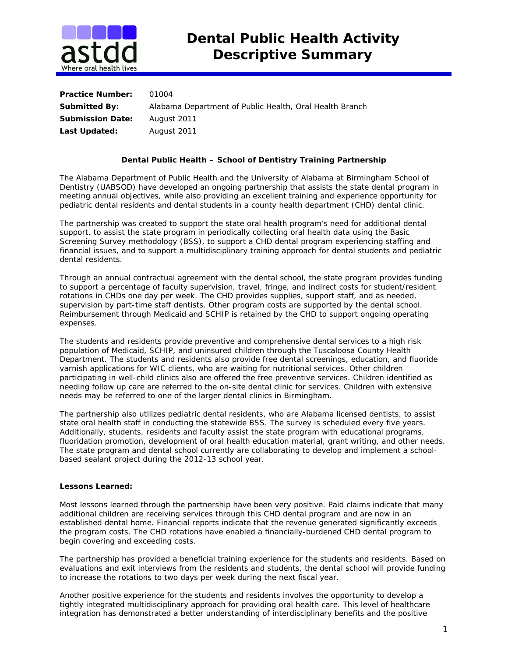

| <b>Practice Number:</b> | 01004                                                   |
|-------------------------|---------------------------------------------------------|
| <b>Submitted By:</b>    | Alabama Department of Public Health, Oral Health Branch |
| <b>Submission Date:</b> | August 2011                                             |
| Last Updated:           | August 2011                                             |

## **Dental Public Health – School of Dentistry Training Partnership**

The Alabama Department of Public Health and the University of Alabama at Birmingham School of Dentistry (UABSOD) have developed an ongoing partnership that assists the state dental program in meeting annual objectives, while also providing an excellent training and experience opportunity for pediatric dental residents and dental students in a county health department (CHD) dental clinic.

The partnership was created to support the state oral health program's need for additional dental support, to assist the state program in periodically collecting oral health data using the Basic Screening Survey methodology (BSS), to support a CHD dental program experiencing staffing and financial issues, and to support a multidisciplinary training approach for dental students and pediatric dental residents.

Through an annual contractual agreement with the dental school, the state program provides funding to support a percentage of faculty supervision, travel, fringe, and indirect costs for student/resident rotations in CHDs one day per week. The CHD provides supplies, support staff, and as needed, supervision by part-time staff dentists. Other program costs are supported by the dental school. Reimbursement through Medicaid and SCHIP is retained by the CHD to support ongoing operating expenses.

The students and residents provide preventive and comprehensive dental services to a high risk population of Medicaid, SCHIP, and uninsured children through the Tuscaloosa County Health Department. The students and residents also provide free dental screenings, education, and fluoride varnish applications for WIC clients, who are waiting for nutritional services. Other children participating in well-child clinics also are offered the free preventive services. Children identified as needing follow up care are referred to the on-site dental clinic for services. Children with extensive needs may be referred to one of the larger dental clinics in Birmingham.

The partnership also utilizes pediatric dental residents, who are Alabama licensed dentists, to assist state oral health staff in conducting the statewide BSS. The survey is scheduled every five years. Additionally, students, residents and faculty assist the state program with educational programs, fluoridation promotion, development of oral health education material, grant writing, and other needs. The state program and dental school currently are collaborating to develop and implement a schoolbased sealant project during the 2012-13 school year.

## **Lessons Learned:**

Most lessons learned through the partnership have been very positive. Paid claims indicate that many additional children are receiving services through this CHD dental program and are now in an established dental home. Financial reports indicate that the revenue generated significantly exceeds the program costs. The CHD rotations have enabled a financially-burdened CHD dental program to begin covering and exceeding costs.

The partnership has provided a beneficial training experience for the students and residents. Based on evaluations and exit interviews from the residents and students, the dental school will provide funding to increase the rotations to two days per week during the next fiscal year.

Another positive experience for the students and residents involves the opportunity to develop a tightly integrated multidisciplinary approach for providing oral health care. This level of healthcare integration has demonstrated a better understanding of interdisciplinary benefits and the positive